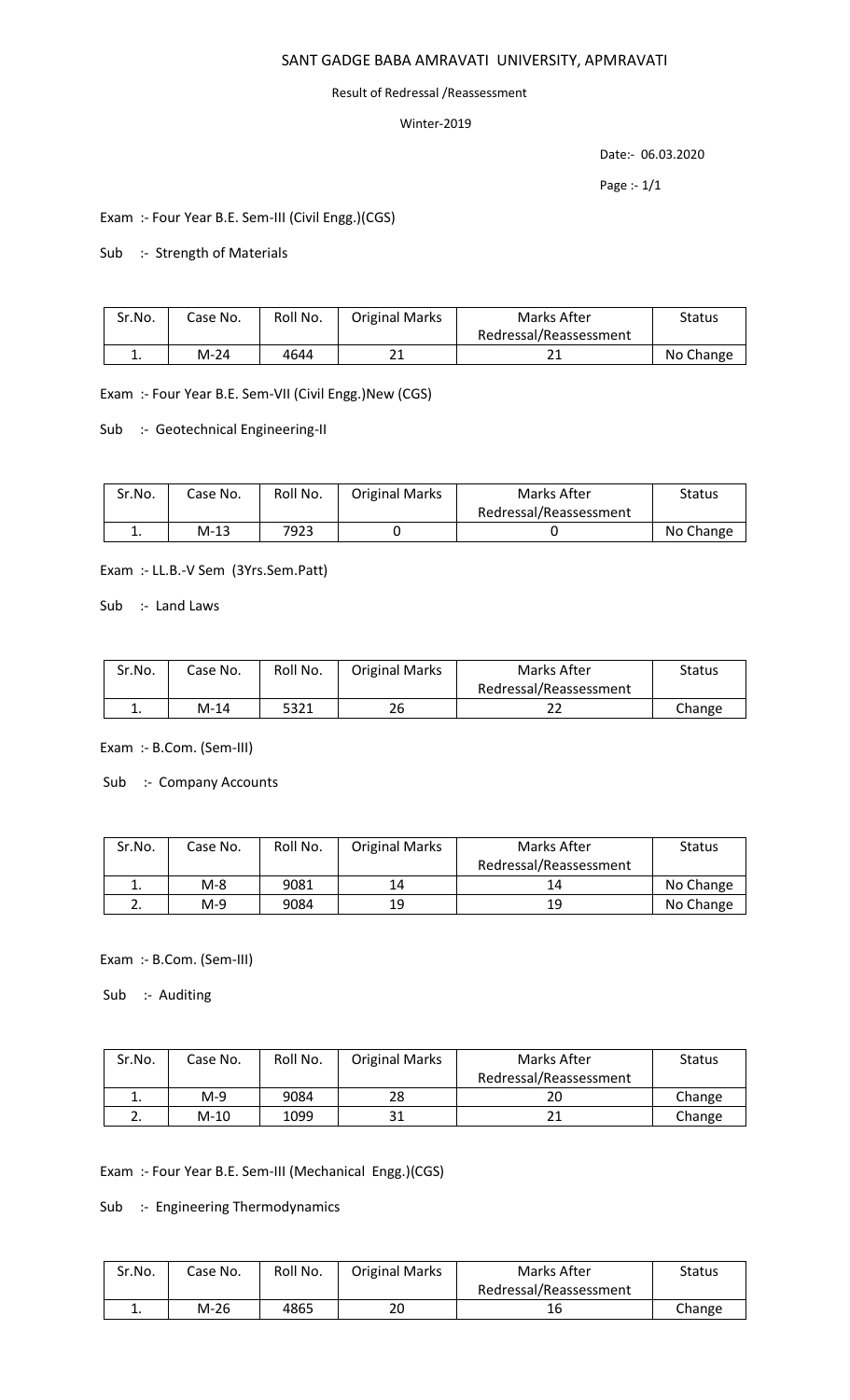## SANT GADGE BABA AMRAVATI UNIVERSITY, APMRAVATI

## Result of Redressal /Reassessment

## Winter-2019

Date:- 06.03.2020

Page :- 1/1

Exam :- Four Year B.E. Sem-III (Civil Engg.)(CGS)

Sub :- Strength of Materials

| Sr.No. | Case No. | Roll No. | <b>Original Marks</b> | Marks After            | <b>Status</b> |
|--------|----------|----------|-----------------------|------------------------|---------------|
|        |          |          |                       | Redressal/Reassessment |               |
| . .    | M-24     | 4644     |                       |                        | No Change     |

Exam :- Four Year B.E. Sem-VII (Civil Engg.)New (CGS)

Sub :- Geotechnical Engineering-II

| Sr.No. | Case No. | Roll No. | <b>Original Marks</b> | Marks After            | Status    |
|--------|----------|----------|-----------------------|------------------------|-----------|
|        |          |          |                       | Redressal/Reassessment |           |
| . ـ    | M-13     | 7923     |                       |                        | No Change |

Exam :- LL.B.-V Sem (3Yrs.Sem.Patt)

Sub :- Land Laws

| Sr.No. | Case No. | Roll No. | <b>Original Marks</b> | Marks After            | <b>Status</b> |
|--------|----------|----------|-----------------------|------------------------|---------------|
|        |          |          |                       | Redressal/Reassessment |               |
| ٠.     | M-14     | 5321     | 26                    |                        | Change        |

Exam :- B.Com. (Sem-III)

Sub :- Company Accounts

| Sr.No.      | Case No. | Roll No. | <b>Original Marks</b> | Marks After            | <b>Status</b> |
|-------------|----------|----------|-----------------------|------------------------|---------------|
|             |          |          |                       | Redressal/Reassessment |               |
|             | $M-8$    | 9081     | 14                    | 14                     | No Change     |
| <u>. . </u> | $M-9$    | 9084     | 19                    | 19                     | No Change     |

Exam :- B.Com. (Sem-III)

Sub :- Auditing

| Sr.No. | Case No. | Roll No. | <b>Original Marks</b> | Marks After            | <b>Status</b> |
|--------|----------|----------|-----------------------|------------------------|---------------|
|        |          |          |                       | Redressal/Reassessment |               |
|        | M-9      | 9084     | 28                    | 20                     | Change        |
|        | $M-10$   | 1099     | 31                    |                        | Change        |

Exam :- Four Year B.E. Sem-III (Mechanical Engg.)(CGS)

Sub :- Engineering Thermodynamics

| Sr.No. | Case No. | Roll No. | <b>Original Marks</b> | Marks After            | Status |
|--------|----------|----------|-----------------------|------------------------|--------|
|        |          |          |                       | Redressal/Reassessment |        |
| . .    | M-26     | 4865     | 20                    | 16                     | Change |